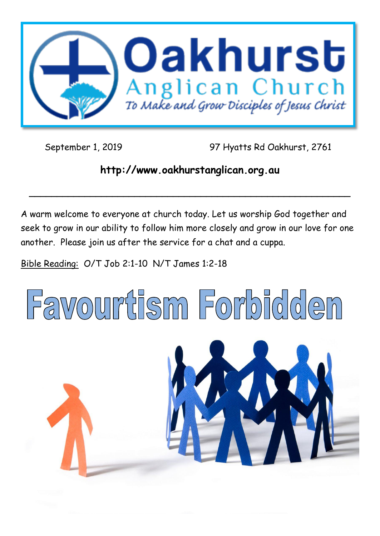

September 1, 2019 97 Hyatts Rd Oakhurst, 2761

# **http://www.oakhurstanglican.org.au**

**\_\_\_\_\_\_\_\_\_\_\_\_\_\_\_\_\_\_\_\_\_\_\_\_\_\_\_\_\_\_\_\_\_\_\_\_\_\_\_\_\_\_\_\_\_\_\_\_\_\_\_\_\_\_\_\_\_\_**

A warm welcome to everyone at church today. Let us worship God together and seek to grow in our ability to follow him more closely and grow in our love for one another. Please join us after the service for a chat and a cuppa.

Bible Reading: O/T Job 2:1-10 N/T James 1:2-18

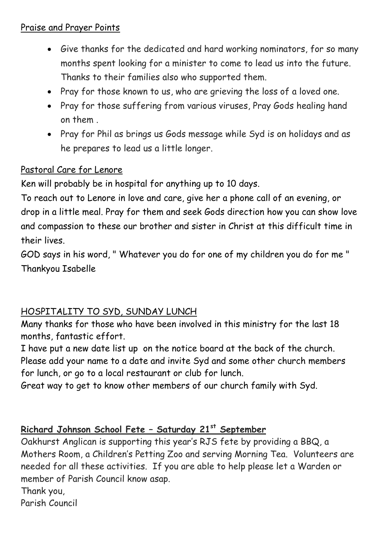#### Praise and Prayer Points

- Give thanks for the dedicated and hard working nominators, for so many months spent looking for a minister to come to lead us into the future. Thanks to their families also who supported them.
- Pray for those known to us, who are grieving the loss of a loved one.
- Pray for those suffering from various viruses, Pray Gods healing hand on them .
- Pray for Phil as brings us Gods message while Syd is on holidays and as he prepares to lead us a little longer.

## Pastoral Care for Lenore

Ken will probably be in hospital for anything up to 10 days.

To reach out to Lenore in love and care, give her a phone call of an evening, or drop in a little meal. Pray for them and seek Gods direction how you can show love and compassion to these our brother and sister in Christ at this difficult time in their lives.

GOD says in his word, " Whatever you do for one of my children you do for me " Thankyou Isabelle

#### HOSPITALITY TO SYD, SUNDAY LUNCH

Many thanks for those who have been involved in this ministry for the last 18 months, fantastic effort.

I have put a new date list up on the notice board at the back of the church. Please add your name to a date and invite Syd and some other church members for lunch, or go to a local restaurant or club for lunch.

Great way to get to know other members of our church family with Syd.

## **Richard Johnson School Fete – Saturday 21st September**

Oakhurst Anglican is supporting this year's RJS fete by providing a BBQ, a Mothers Room, a Children's Petting Zoo and serving Morning Tea. Volunteers are needed for all these activities. If you are able to help please let a Warden or member of Parish Council know asap.

Thank you,

Parish Council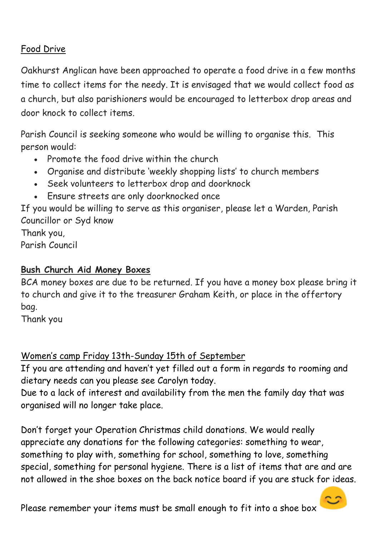## Food Drive

Oakhurst Anglican have been approached to operate a food drive in a few months time to collect items for the needy. It is envisaged that we would collect food as a church, but also parishioners would be encouraged to letterbox drop areas and door knock to collect items.

Parish Council is seeking someone who would be willing to organise this. This person would:

- Promote the food drive within the church
- Organise and distribute 'weekly shopping lists' to church members
- Seek volunteers to letterbox drop and doorknock
- Ensure streets are only doorknocked once

If you would be willing to serve as this organiser, please let a Warden, Parish Councillor or Syd know

Thank you, Parish Council

## **Bush Church Aid Money Boxes**

BCA money boxes are due to be returned. If you have a money box please bring it to church and give it to the treasurer Graham Keith, or place in the offertory bag.

Thank you

## Women's camp Friday 13th-Sunday 15th of September

If you are attending and haven't yet filled out a form in regards to rooming and dietary needs can you please see Carolyn today.

Due to a lack of interest and availability from the men the family day that was organised will no longer take place.

Don't forget your Operation Christmas child donations. We would really appreciate any donations for the following categories: something to wear, something to play with, something for school, something to love, something special, something for personal hygiene. There is a list of items that are and are not allowed in the shoe boxes on the back notice board if you are stuck for ideas.